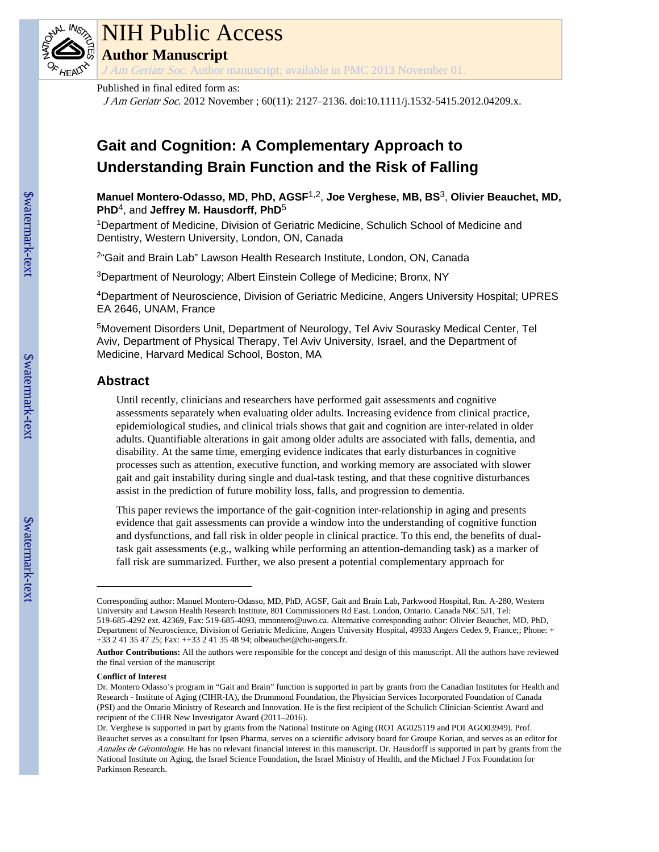

# NIH Public Access

**Author Manuscript**

J Am Geriatr Soc. Author manuscript; available in PMC 2013 November 01.

# Published in final edited form as:

J Am Geriatr Soc. 2012 November ; 60(11): 2127–2136. doi:10.1111/j.1532-5415.2012.04209.x.

# **Gait and Cognition: A Complementary Approach to Understanding Brain Function and the Risk of Falling**

**Manuel Montero-Odasso, MD, PhD, AGSF**1,2, **Joe Verghese, MB, BS**3, **Olivier Beauchet, MD, PhD**4, and **Jeffrey M. Hausdorff, PhD**<sup>5</sup>

<sup>1</sup>Department of Medicine, Division of Geriatric Medicine, Schulich School of Medicine and Dentistry, Western University, London, ON, Canada

<sup>2</sup>"Gait and Brain Lab" Lawson Health Research Institute, London, ON, Canada

<sup>3</sup>Department of Neurology; Albert Einstein College of Medicine; Bronx, NY

<sup>4</sup>Department of Neuroscience, Division of Geriatric Medicine, Angers University Hospital; UPRES EA 2646, UNAM, France

<sup>5</sup>Movement Disorders Unit, Department of Neurology, Tel Aviv Sourasky Medical Center, Tel Aviv, Department of Physical Therapy, Tel Aviv University, Israel, and the Department of Medicine, Harvard Medical School, Boston, MA

# **Abstract**

Until recently, clinicians and researchers have performed gait assessments and cognitive assessments separately when evaluating older adults. Increasing evidence from clinical practice, epidemiological studies, and clinical trials shows that gait and cognition are inter-related in older adults. Quantifiable alterations in gait among older adults are associated with falls, dementia, and disability. At the same time, emerging evidence indicates that early disturbances in cognitive processes such as attention, executive function, and working memory are associated with slower gait and gait instability during single and dual-task testing, and that these cognitive disturbances assist in the prediction of future mobility loss, falls, and progression to dementia.

This paper reviews the importance of the gait-cognition inter-relationship in aging and presents evidence that gait assessments can provide a window into the understanding of cognitive function and dysfunctions, and fall risk in older people in clinical practice. To this end, the benefits of dualtask gait assessments (e.g., walking while performing an attention-demanding task) as a marker of fall risk are summarized. Further, we also present a potential complementary approach for

#### **Conflict of Interest**

Corresponding author: Manuel Montero-Odasso, MD, PhD, AGSF, Gait and Brain Lab, Parkwood Hospital, Rm. A-280, Western University and Lawson Health Research Institute, 801 Commissioners Rd East. London, Ontario. Canada N6C 5J1, Tel: 519-685-4292 ext. 42369, Fax: 519-685-4093, mmontero@uwo.ca. Alternative corresponding author: Olivier Beauchet, MD, PhD, Department of Neuroscience, Division of Geriatric Medicine, Angers University Hospital, 49933 Angers Cedex 9, France;; Phone: + +33 2 41 35 47 25; Fax: ++33 2 41 35 48 94; olbeauchet@chu-angers.fr.

**Author Contributions:** All the authors were responsible for the concept and design of this manuscript. All the authors have reviewed the final version of the manuscript

Dr. Montero Odasso's program in "Gait and Brain" function is supported in part by grants from the Canadian Institutes for Health and Research - Institute of Aging (CIHR-IA), the Drummond Foundation, the Physician Services Incorporated Foundation of Canada (PSI) and the Ontario Ministry of Research and Innovation. He is the first recipient of the Schulich Clinician-Scientist Award and recipient of the CIHR New Investigator Award (2011–2016).

Dr. Verghese is supported in part by grants from the National Institute on Aging (RO1 AG025119 and POI AGO03949). Prof. Beauchet serves as a consultant for Ipsen Pharma, serves on a scientific advisory board for Groupe Korian, and serves as an editor for Annales de Gérontologie. He has no relevant financial interest in this manuscript. Dr. Hausdorff is supported in part by grants from the National Institute on Aging, the Israel Science Foundation, the Israel Ministry of Health, and the Michael J Fox Foundation for Parkinson Research.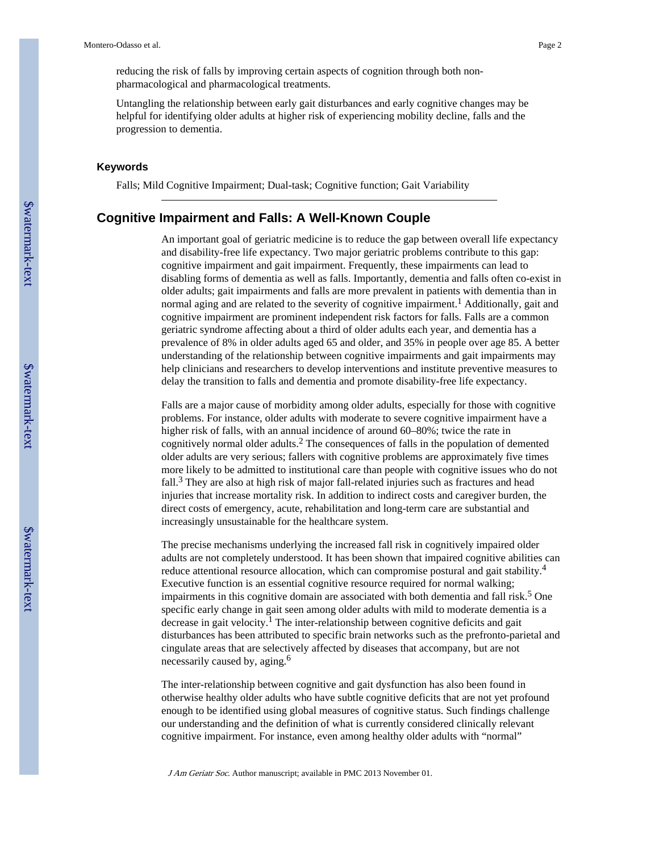reducing the risk of falls by improving certain aspects of cognition through both nonpharmacological and pharmacological treatments.

Untangling the relationship between early gait disturbances and early cognitive changes may be helpful for identifying older adults at higher risk of experiencing mobility decline, falls and the progression to dementia.

#### **Keywords**

Falls; Mild Cognitive Impairment; Dual-task; Cognitive function; Gait Variability

# **Cognitive Impairment and Falls: A Well-Known Couple**

An important goal of geriatric medicine is to reduce the gap between overall life expectancy and disability-free life expectancy. Two major geriatric problems contribute to this gap: cognitive impairment and gait impairment. Frequently, these impairments can lead to disabling forms of dementia as well as falls. Importantly, dementia and falls often co-exist in older adults; gait impairments and falls are more prevalent in patients with dementia than in normal aging and are related to the severity of cognitive impairment.<sup>1</sup> Additionally, gait and cognitive impairment are prominent independent risk factors for falls. Falls are a common geriatric syndrome affecting about a third of older adults each year, and dementia has a prevalence of 8% in older adults aged 65 and older, and 35% in people over age 85. A better understanding of the relationship between cognitive impairments and gait impairments may help clinicians and researchers to develop interventions and institute preventive measures to delay the transition to falls and dementia and promote disability-free life expectancy.

Falls are a major cause of morbidity among older adults, especially for those with cognitive problems. For instance, older adults with moderate to severe cognitive impairment have a higher risk of falls, with an annual incidence of around 60–80%; twice the rate in cognitively normal older adults.<sup>2</sup> The consequences of falls in the population of demented older adults are very serious; fallers with cognitive problems are approximately five times more likely to be admitted to institutional care than people with cognitive issues who do not fall.<sup>3</sup> They are also at high risk of major fall-related injuries such as fractures and head injuries that increase mortality risk. In addition to indirect costs and caregiver burden, the direct costs of emergency, acute, rehabilitation and long-term care are substantial and increasingly unsustainable for the healthcare system.

The precise mechanisms underlying the increased fall risk in cognitively impaired older adults are not completely understood. It has been shown that impaired cognitive abilities can reduce attentional resource allocation, which can compromise postural and gait stability.<sup>4</sup> Executive function is an essential cognitive resource required for normal walking; impairments in this cognitive domain are associated with both dementia and fall risk.<sup>5</sup> One specific early change in gait seen among older adults with mild to moderate dementia is a  $\alpha$  decrease in gait velocity.<sup>1</sup> The inter-relationship between cognitive deficits and gait disturbances has been attributed to specific brain networks such as the prefronto-parietal and cingulate areas that are selectively affected by diseases that accompany, but are not necessarily caused by, aging.<sup>6</sup>

The inter-relationship between cognitive and gait dysfunction has also been found in otherwise healthy older adults who have subtle cognitive deficits that are not yet profound enough to be identified using global measures of cognitive status. Such findings challenge our understanding and the definition of what is currently considered clinically relevant cognitive impairment. For instance, even among healthy older adults with "normal"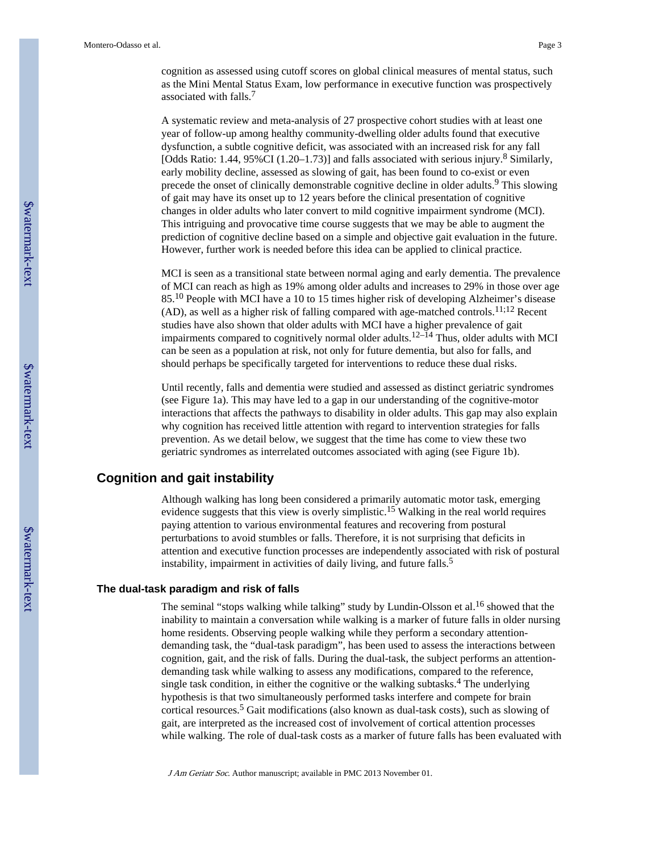cognition as assessed using cutoff scores on global clinical measures of mental status, such as the Mini Mental Status Exam, low performance in executive function was prospectively associated with falls.<sup>7</sup>

A systematic review and meta-analysis of 27 prospective cohort studies with at least one year of follow-up among healthy community-dwelling older adults found that executive dysfunction, a subtle cognitive deficit, was associated with an increased risk for any fall [Odds Ratio: 1.44,  $95\%$ CI (1.20–1.73)] and falls associated with serious injury.<sup>8</sup> Similarly, early mobility decline, assessed as slowing of gait, has been found to co-exist or even precede the onset of clinically demonstrable cognitive decline in older adults.<sup>9</sup> This slowing of gait may have its onset up to 12 years before the clinical presentation of cognitive changes in older adults who later convert to mild cognitive impairment syndrome (MCI). This intriguing and provocative time course suggests that we may be able to augment the prediction of cognitive decline based on a simple and objective gait evaluation in the future. However, further work is needed before this idea can be applied to clinical practice.

MCI is seen as a transitional state between normal aging and early dementia. The prevalence of MCI can reach as high as 19% among older adults and increases to 29% in those over age 85.10 People with MCI have a 10 to 15 times higher risk of developing Alzheimer's disease  $(AD)$ , as well as a higher risk of falling compared with age-matched controls.<sup>11;12</sup> Recent studies have also shown that older adults with MCI have a higher prevalence of gait impairments compared to cognitively normal older adults.<sup>12–14</sup> Thus, older adults with MCI can be seen as a population at risk, not only for future dementia, but also for falls, and should perhaps be specifically targeted for interventions to reduce these dual risks.

Until recently, falls and dementia were studied and assessed as distinct geriatric syndromes (see Figure 1a). This may have led to a gap in our understanding of the cognitive-motor interactions that affects the pathways to disability in older adults. This gap may also explain why cognition has received little attention with regard to intervention strategies for falls prevention. As we detail below, we suggest that the time has come to view these two geriatric syndromes as interrelated outcomes associated with aging (see Figure 1b).

# **Cognition and gait instability**

Although walking has long been considered a primarily automatic motor task, emerging evidence suggests that this view is overly simplistic.15 Walking in the real world requires paying attention to various environmental features and recovering from postural perturbations to avoid stumbles or falls. Therefore, it is not surprising that deficits in attention and executive function processes are independently associated with risk of postural instability, impairment in activities of daily living, and future falls.<sup>5</sup>

#### **The dual-task paradigm and risk of falls**

The seminal "stops walking while talking" study by Lundin-Olsson et al.<sup>16</sup> showed that the inability to maintain a conversation while walking is a marker of future falls in older nursing home residents. Observing people walking while they perform a secondary attentiondemanding task, the "dual-task paradigm", has been used to assess the interactions between cognition, gait, and the risk of falls. During the dual-task, the subject performs an attentiondemanding task while walking to assess any modifications, compared to the reference, single task condition, in either the cognitive or the walking subtasks.<sup>4</sup> The underlying hypothesis is that two simultaneously performed tasks interfere and compete for brain cortical resources.<sup>5</sup> Gait modifications (also known as dual-task costs), such as slowing of gait, are interpreted as the increased cost of involvement of cortical attention processes while walking. The role of dual-task costs as a marker of future falls has been evaluated with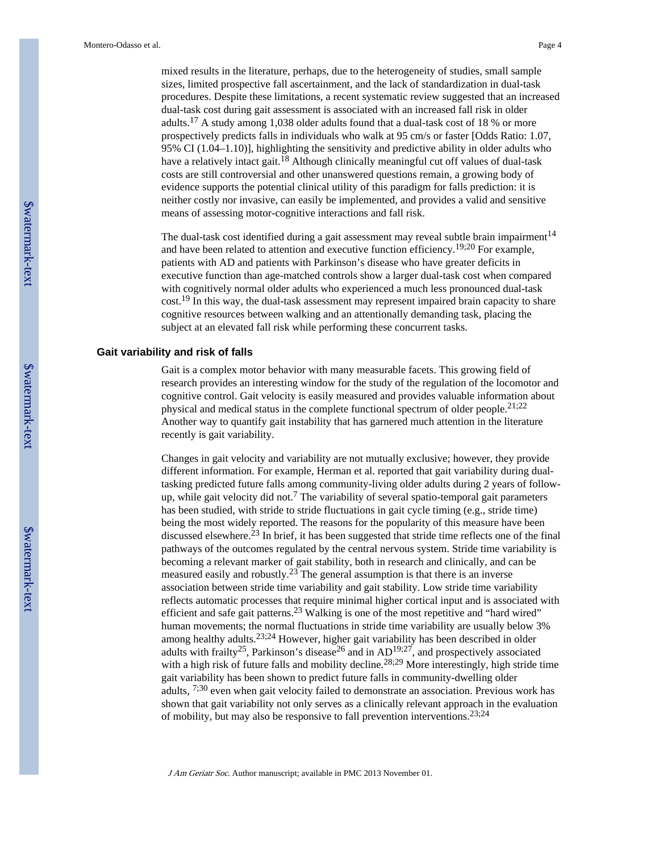mixed results in the literature, perhaps, due to the heterogeneity of studies, small sample sizes, limited prospective fall ascertainment, and the lack of standardization in dual-task procedures. Despite these limitations, a recent systematic review suggested that an increased dual-task cost during gait assessment is associated with an increased fall risk in older adults.17 A study among 1,038 older adults found that a dual-task cost of 18 % or more prospectively predicts falls in individuals who walk at 95 cm/s or faster [Odds Ratio: 1.07, 95% CI (1.04–1.10)], highlighting the sensitivity and predictive ability in older adults who have a relatively intact gait.<sup>18</sup> Although clinically meaningful cut off values of dual-task costs are still controversial and other unanswered questions remain, a growing body of evidence supports the potential clinical utility of this paradigm for falls prediction: it is neither costly nor invasive, can easily be implemented, and provides a valid and sensitive means of assessing motor-cognitive interactions and fall risk.

The dual-task cost identified during a gait assessment may reveal subtle brain impairment $14$ and have been related to attention and executive function efficiency.19;20 For example, patients with AD and patients with Parkinson's disease who have greater deficits in executive function than age-matched controls show a larger dual-task cost when compared with cognitively normal older adults who experienced a much less pronounced dual-task cost.19 In this way, the dual-task assessment may represent impaired brain capacity to share cognitive resources between walking and an attentionally demanding task, placing the subject at an elevated fall risk while performing these concurrent tasks.

#### **Gait variability and risk of falls**

Gait is a complex motor behavior with many measurable facets. This growing field of research provides an interesting window for the study of the regulation of the locomotor and cognitive control. Gait velocity is easily measured and provides valuable information about physical and medical status in the complete functional spectrum of older people.<sup>21;22</sup> Another way to quantify gait instability that has garnered much attention in the literature recently is gait variability.

Changes in gait velocity and variability are not mutually exclusive; however, they provide different information. For example, Herman et al. reported that gait variability during dualtasking predicted future falls among community-living older adults during 2 years of followup, while gait velocity did not.<sup>7</sup> The variability of several spatio-temporal gait parameters has been studied, with stride to stride fluctuations in gait cycle timing (e.g., stride time) being the most widely reported. The reasons for the popularity of this measure have been discussed elsewhere.<sup>23</sup> In brief, it has been suggested that stride time reflects one of the final pathways of the outcomes regulated by the central nervous system. Stride time variability is becoming a relevant marker of gait stability, both in research and clinically, and can be measured easily and robustly.<sup>23</sup> The general assumption is that there is an inverse association between stride time variability and gait stability. Low stride time variability reflects automatic processes that require minimal higher cortical input and is associated with efficient and safe gait patterns.<sup>23</sup> Walking is one of the most repetitive and "hard wired" human movements; the normal fluctuations in stride time variability are usually below 3% among healthy adults.<sup>23;24</sup> However, higher gait variability has been described in older adults with frailty<sup>25</sup>, Parkinson's disease<sup>26</sup> and in  $AD^{19;27}$ , and prospectively associated with a high risk of future falls and mobility decline.<sup>28;29</sup> More interestingly, high stride time gait variability has been shown to predict future falls in community-dwelling older adults, 7;30 even when gait velocity failed to demonstrate an association. Previous work has shown that gait variability not only serves as a clinically relevant approach in the evaluation of mobility, but may also be responsive to fall prevention interventions.  $23,24$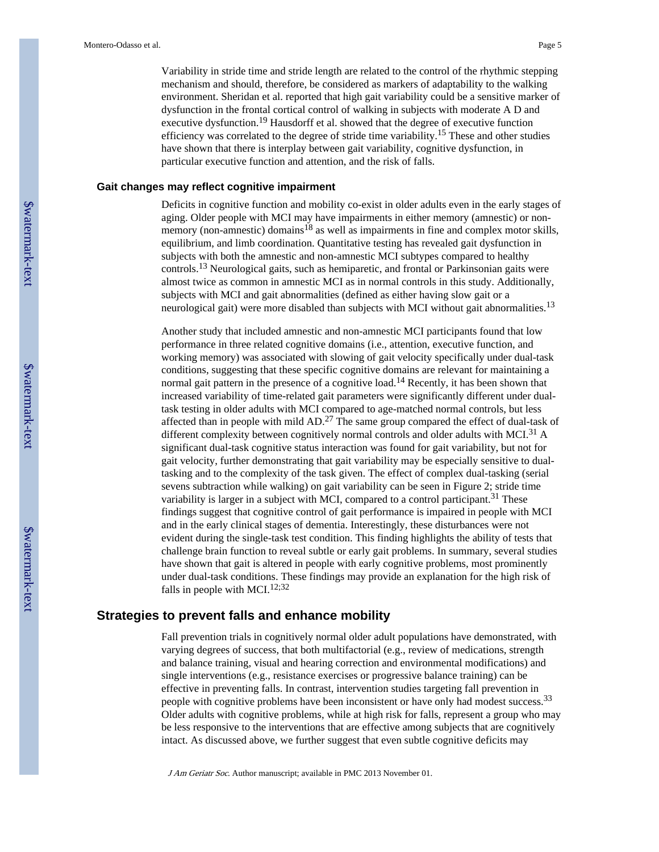Variability in stride time and stride length are related to the control of the rhythmic stepping mechanism and should, therefore, be considered as markers of adaptability to the walking environment. Sheridan et al. reported that high gait variability could be a sensitive marker of dysfunction in the frontal cortical control of walking in subjects with moderate A D and executive dysfunction.<sup>19</sup> Hausdorff et al. showed that the degree of executive function efficiency was correlated to the degree of stride time variability.<sup>15</sup> These and other studies have shown that there is interplay between gait variability, cognitive dysfunction, in particular executive function and attention, and the risk of falls.

#### **Gait changes may reflect cognitive impairment**

Deficits in cognitive function and mobility co-exist in older adults even in the early stages of aging. Older people with MCI may have impairments in either memory (amnestic) or nonmemory (non-amnestic) domains<sup>18</sup> as well as impairments in fine and complex motor skills, equilibrium, and limb coordination. Quantitative testing has revealed gait dysfunction in subjects with both the amnestic and non-amnestic MCI subtypes compared to healthy controls.13 Neurological gaits, such as hemiparetic, and frontal or Parkinsonian gaits were almost twice as common in amnestic MCI as in normal controls in this study. Additionally, subjects with MCI and gait abnormalities (defined as either having slow gait or a neurological gait) were more disabled than subjects with MCI without gait abnormalities.<sup>13</sup>

Another study that included amnestic and non-amnestic MCI participants found that low performance in three related cognitive domains (i.e., attention, executive function, and working memory) was associated with slowing of gait velocity specifically under dual-task conditions, suggesting that these specific cognitive domains are relevant for maintaining a normal gait pattern in the presence of a cognitive load.<sup>14</sup> Recently, it has been shown that increased variability of time-related gait parameters were significantly different under dualtask testing in older adults with MCI compared to age-matched normal controls, but less affected than in people with mild  $AD<sup>27</sup>$ . The same group compared the effect of dual-task of different complexity between cognitively normal controls and older adults with MCI.<sup>31</sup> A significant dual-task cognitive status interaction was found for gait variability, but not for gait velocity, further demonstrating that gait variability may be especially sensitive to dualtasking and to the complexity of the task given. The effect of complex dual-tasking (serial sevens subtraction while walking) on gait variability can be seen in Figure 2; stride time variability is larger in a subject with MCI, compared to a control participant.<sup>31</sup> These findings suggest that cognitive control of gait performance is impaired in people with MCI and in the early clinical stages of dementia. Interestingly, these disturbances were not evident during the single-task test condition. This finding highlights the ability of tests that challenge brain function to reveal subtle or early gait problems. In summary, several studies have shown that gait is altered in people with early cognitive problems, most prominently under dual-task conditions. These findings may provide an explanation for the high risk of falls in people with MCI.<sup>12;32</sup>

# **Strategies to prevent falls and enhance mobility**

Fall prevention trials in cognitively normal older adult populations have demonstrated, with varying degrees of success, that both multifactorial (e.g., review of medications, strength and balance training, visual and hearing correction and environmental modifications) and single interventions (e.g., resistance exercises or progressive balance training) can be effective in preventing falls. In contrast, intervention studies targeting fall prevention in people with cognitive problems have been inconsistent or have only had modest success.<sup>33</sup> Older adults with cognitive problems, while at high risk for falls, represent a group who may be less responsive to the interventions that are effective among subjects that are cognitively intact. As discussed above, we further suggest that even subtle cognitive deficits may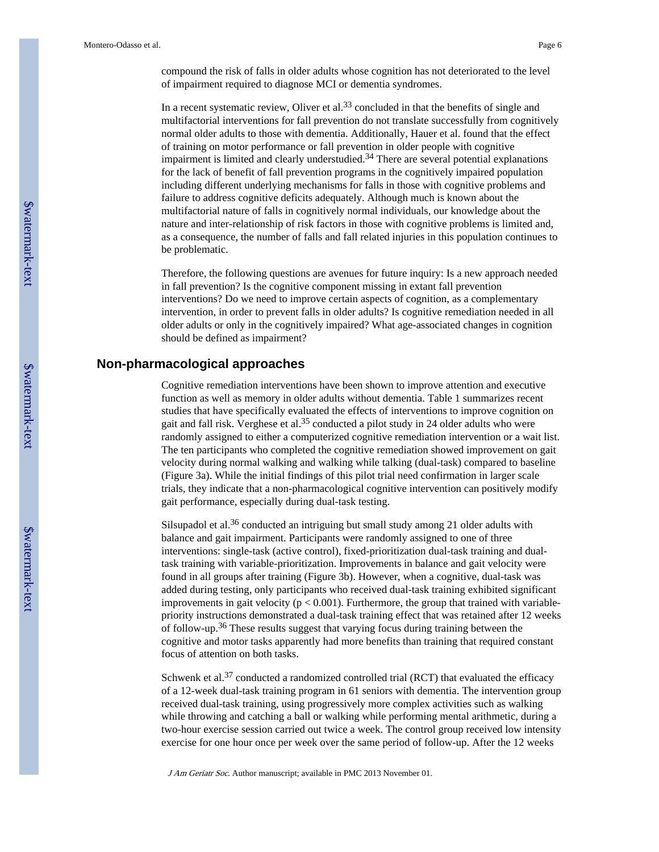compound the risk of falls in older adults whose cognition has not deteriorated to the level of impairment required to diagnose MCI or dementia syndromes.

In a recent systematic review, Oliver et al. $33$  concluded in that the benefits of single and multifactorial interventions for fall prevention do not translate successfully from cognitively normal older adults to those with dementia. Additionally, Hauer et al. found that the effect of training on motor performance or fall prevention in older people with cognitive impairment is limited and clearly understudied.<sup>34</sup> There are several potential explanations for the lack of benefit of fall prevention programs in the cognitively impaired population including different underlying mechanisms for falls in those with cognitive problems and failure to address cognitive deficits adequately. Although much is known about the multifactorial nature of falls in cognitively normal individuals, our knowledge about the nature and inter-relationship of risk factors in those with cognitive problems is limited and, as a consequence, the number of falls and fall related injuries in this population continues to be problematic.

Therefore, the following questions are avenues for future inquiry: Is a new approach needed in fall prevention? Is the cognitive component missing in extant fall prevention interventions? Do we need to improve certain aspects of cognition, as a complementary intervention, in order to prevent falls in older adults? Is cognitive remediation needed in all older adults or only in the cognitively impaired? What age-associated changes in cognition should be defined as impairment?

# **Non-pharmacological approaches**

Cognitive remediation interventions have been shown to improve attention and executive function as well as memory in older adults without dementia. Table 1 summarizes recent studies that have specifically evaluated the effects of interventions to improve cognition on gait and fall risk. Verghese et al.<sup>35</sup> conducted a pilot study in 24 older adults who were randomly assigned to either a computerized cognitive remediation intervention or a wait list. The ten participants who completed the cognitive remediation showed improvement on gait velocity during normal walking and walking while talking (dual-task) compared to baseline (Figure 3a). While the initial findings of this pilot trial need confirmation in larger scale trials, they indicate that a non-pharmacological cognitive intervention can positively modify gait performance, especially during dual-task testing.

Silsupadol et al.<sup>36</sup> conducted an intriguing but small study among 21 older adults with balance and gait impairment. Participants were randomly assigned to one of three interventions: single-task (active control), fixed-prioritization dual-task training and dualtask training with variable-prioritization. Improvements in balance and gait velocity were found in all groups after training (Figure 3b). However, when a cognitive, dual-task was added during testing, only participants who received dual-task training exhibited significant improvements in gait velocity ( $p < 0.001$ ). Furthermore, the group that trained with variablepriority instructions demonstrated a dual-task training effect that was retained after 12 weeks of follow-up.36 These results suggest that varying focus during training between the cognitive and motor tasks apparently had more benefits than training that required constant focus of attention on both tasks.

Schwenk et al.<sup>37</sup> conducted a randomized controlled trial (RCT) that evaluated the efficacy of a 12-week dual-task training program in 61 seniors with dementia. The intervention group received dual-task training, using progressively more complex activities such as walking while throwing and catching a ball or walking while performing mental arithmetic, during a two-hour exercise session carried out twice a week. The control group received low intensity exercise for one hour once per week over the same period of follow-up. After the 12 weeks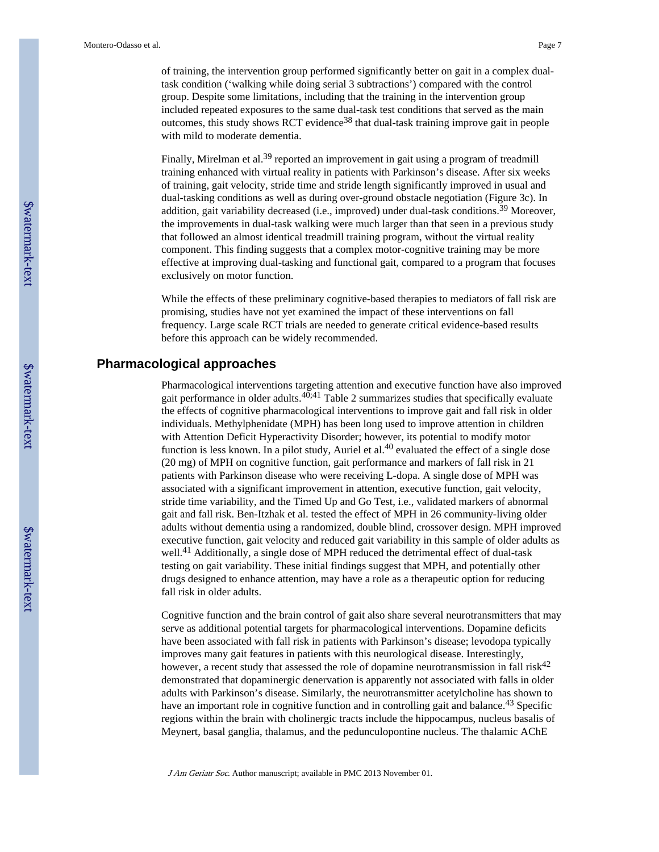of training, the intervention group performed significantly better on gait in a complex dualtask condition ('walking while doing serial 3 subtractions') compared with the control group. Despite some limitations, including that the training in the intervention group included repeated exposures to the same dual-task test conditions that served as the main outcomes, this study shows RCT evidence<sup>38</sup> that dual-task training improve gait in people with mild to moderate dementia.

Finally, Mirelman et al.<sup>39</sup> reported an improvement in gait using a program of treadmill training enhanced with virtual reality in patients with Parkinson's disease. After six weeks of training, gait velocity, stride time and stride length significantly improved in usual and dual-tasking conditions as well as during over-ground obstacle negotiation (Figure 3c). In addition, gait variability decreased (i.e., improved) under dual-task conditions.<sup>39</sup> Moreover, the improvements in dual-task walking were much larger than that seen in a previous study that followed an almost identical treadmill training program, without the virtual reality component. This finding suggests that a complex motor-cognitive training may be more effective at improving dual-tasking and functional gait, compared to a program that focuses exclusively on motor function.

While the effects of these preliminary cognitive-based therapies to mediators of fall risk are promising, studies have not yet examined the impact of these interventions on fall frequency. Large scale RCT trials are needed to generate critical evidence-based results before this approach can be widely recommended.

# **Pharmacological approaches**

Pharmacological interventions targeting attention and executive function have also improved gait performance in older adults.<sup>40;41</sup> Table 2 summarizes studies that specifically evaluate the effects of cognitive pharmacological interventions to improve gait and fall risk in older individuals. Methylphenidate (MPH) has been long used to improve attention in children with Attention Deficit Hyperactivity Disorder; however, its potential to modify motor function is less known. In a pilot study, Auriel et al.<sup>40</sup> evaluated the effect of a single dose (20 mg) of MPH on cognitive function, gait performance and markers of fall risk in 21 patients with Parkinson disease who were receiving L-dopa. A single dose of MPH was associated with a significant improvement in attention, executive function, gait velocity, stride time variability, and the Timed Up and Go Test, i.e., validated markers of abnormal gait and fall risk. Ben-Itzhak et al. tested the effect of MPH in 26 community-living older adults without dementia using a randomized, double blind, crossover design. MPH improved executive function, gait velocity and reduced gait variability in this sample of older adults as well.<sup>41</sup> Additionally, a single dose of MPH reduced the detrimental effect of dual-task testing on gait variability. These initial findings suggest that MPH, and potentially other drugs designed to enhance attention, may have a role as a therapeutic option for reducing fall risk in older adults.

Cognitive function and the brain control of gait also share several neurotransmitters that may serve as additional potential targets for pharmacological interventions. Dopamine deficits have been associated with fall risk in patients with Parkinson's disease; levodopa typically improves many gait features in patients with this neurological disease. Interestingly, however, a recent study that assessed the role of dopamine neurotransmission in fall risk<sup>42</sup> demonstrated that dopaminergic denervation is apparently not associated with falls in older adults with Parkinson's disease. Similarly, the neurotransmitter acetylcholine has shown to have an important role in cognitive function and in controlling gait and balance.<sup>43</sup> Specific regions within the brain with cholinergic tracts include the hippocampus, nucleus basalis of Meynert, basal ganglia, thalamus, and the pedunculopontine nucleus. The thalamic AChE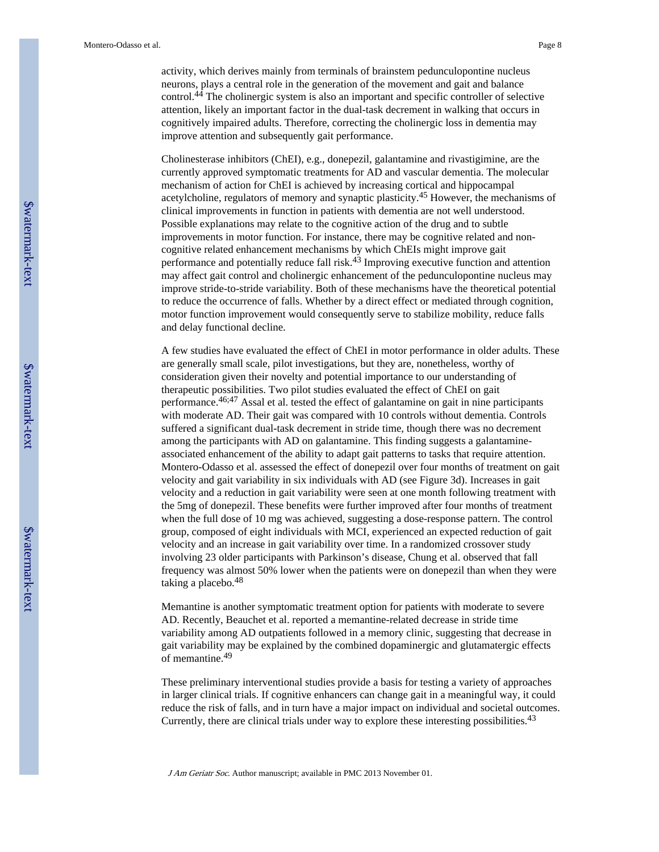activity, which derives mainly from terminals of brainstem pedunculopontine nucleus neurons, plays a central role in the generation of the movement and gait and balance control.44 The cholinergic system is also an important and specific controller of selective attention, likely an important factor in the dual-task decrement in walking that occurs in cognitively impaired adults. Therefore, correcting the cholinergic loss in dementia may improve attention and subsequently gait performance.

Cholinesterase inhibitors (ChEI), e.g., donepezil, galantamine and rivastigimine, are the currently approved symptomatic treatments for AD and vascular dementia. The molecular mechanism of action for ChEI is achieved by increasing cortical and hippocampal acetylcholine, regulators of memory and synaptic plasticity.<sup>45</sup> However, the mechanisms of clinical improvements in function in patients with dementia are not well understood. Possible explanations may relate to the cognitive action of the drug and to subtle improvements in motor function. For instance, there may be cognitive related and noncognitive related enhancement mechanisms by which ChEIs might improve gait performance and potentially reduce fall risk.<sup>43</sup> Improving executive function and attention may affect gait control and cholinergic enhancement of the pedunculopontine nucleus may improve stride-to-stride variability. Both of these mechanisms have the theoretical potential to reduce the occurrence of falls. Whether by a direct effect or mediated through cognition, motor function improvement would consequently serve to stabilize mobility, reduce falls and delay functional decline.

A few studies have evaluated the effect of ChEI in motor performance in older adults. These are generally small scale, pilot investigations, but they are, nonetheless, worthy of consideration given their novelty and potential importance to our understanding of therapeutic possibilities. Two pilot studies evaluated the effect of ChEI on gait performance.46;47 Assal et al. tested the effect of galantamine on gait in nine participants with moderate AD. Their gait was compared with 10 controls without dementia. Controls suffered a significant dual-task decrement in stride time, though there was no decrement among the participants with AD on galantamine. This finding suggests a galantamineassociated enhancement of the ability to adapt gait patterns to tasks that require attention. Montero-Odasso et al. assessed the effect of donepezil over four months of treatment on gait velocity and gait variability in six individuals with AD (see Figure 3d). Increases in gait velocity and a reduction in gait variability were seen at one month following treatment with the 5mg of donepezil. These benefits were further improved after four months of treatment when the full dose of 10 mg was achieved, suggesting a dose-response pattern. The control group, composed of eight individuals with MCI, experienced an expected reduction of gait velocity and an increase in gait variability over time. In a randomized crossover study involving 23 older participants with Parkinson's disease, Chung et al. observed that fall frequency was almost 50% lower when the patients were on donepezil than when they were taking a placebo.<sup>48</sup>

Memantine is another symptomatic treatment option for patients with moderate to severe AD. Recently, Beauchet et al. reported a memantine-related decrease in stride time variability among AD outpatients followed in a memory clinic, suggesting that decrease in gait variability may be explained by the combined dopaminergic and glutamatergic effects of memantine.<sup>49</sup>

These preliminary interventional studies provide a basis for testing a variety of approaches in larger clinical trials. If cognitive enhancers can change gait in a meaningful way, it could reduce the risk of falls, and in turn have a major impact on individual and societal outcomes. Currently, there are clinical trials under way to explore these interesting possibilities.<sup>43</sup>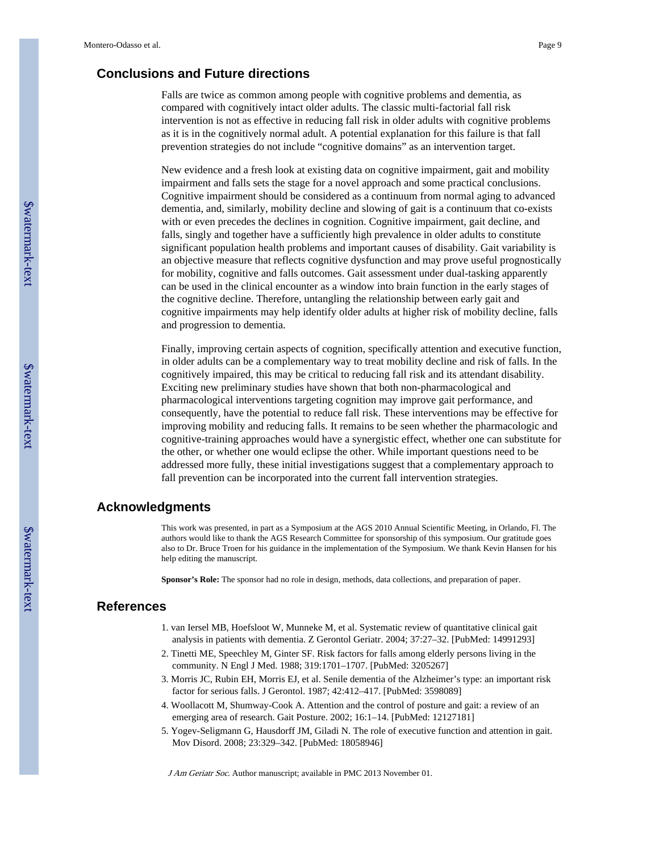# **Conclusions and Future directions**

Falls are twice as common among people with cognitive problems and dementia, as compared with cognitively intact older adults. The classic multi-factorial fall risk intervention is not as effective in reducing fall risk in older adults with cognitive problems as it is in the cognitively normal adult. A potential explanation for this failure is that fall prevention strategies do not include "cognitive domains" as an intervention target.

New evidence and a fresh look at existing data on cognitive impairment, gait and mobility impairment and falls sets the stage for a novel approach and some practical conclusions. Cognitive impairment should be considered as a continuum from normal aging to advanced dementia, and, similarly, mobility decline and slowing of gait is a continuum that co-exists with or even precedes the declines in cognition. Cognitive impairment, gait decline, and falls, singly and together have a sufficiently high prevalence in older adults to constitute significant population health problems and important causes of disability. Gait variability is an objective measure that reflects cognitive dysfunction and may prove useful prognostically for mobility, cognitive and falls outcomes. Gait assessment under dual-tasking apparently can be used in the clinical encounter as a window into brain function in the early stages of the cognitive decline. Therefore, untangling the relationship between early gait and cognitive impairments may help identify older adults at higher risk of mobility decline, falls and progression to dementia.

Finally, improving certain aspects of cognition, specifically attention and executive function, in older adults can be a complementary way to treat mobility decline and risk of falls. In the cognitively impaired, this may be critical to reducing fall risk and its attendant disability. Exciting new preliminary studies have shown that both non-pharmacological and pharmacological interventions targeting cognition may improve gait performance, and consequently, have the potential to reduce fall risk. These interventions may be effective for improving mobility and reducing falls. It remains to be seen whether the pharmacologic and cognitive-training approaches would have a synergistic effect, whether one can substitute for the other, or whether one would eclipse the other. While important questions need to be addressed more fully, these initial investigations suggest that a complementary approach to fall prevention can be incorporated into the current fall intervention strategies.

# **Acknowledgments**

This work was presented, in part as a Symposium at the AGS 2010 Annual Scientific Meeting, in Orlando, Fl. The authors would like to thank the AGS Research Committee for sponsorship of this symposium. Our gratitude goes also to Dr. Bruce Troen for his guidance in the implementation of the Symposium. We thank Kevin Hansen for his help editing the manuscript.

**Sponsor's Role:** The sponsor had no role in design, methods, data collections, and preparation of paper.

### **References**

- 1. van Iersel MB, Hoefsloot W, Munneke M, et al. Systematic review of quantitative clinical gait analysis in patients with dementia. Z Gerontol Geriatr. 2004; 37:27–32. [PubMed: 14991293]
- 2. Tinetti ME, Speechley M, Ginter SF. Risk factors for falls among elderly persons living in the community. N Engl J Med. 1988; 319:1701–1707. [PubMed: 3205267]
- 3. Morris JC, Rubin EH, Morris EJ, et al. Senile dementia of the Alzheimer's type: an important risk factor for serious falls. J Gerontol. 1987; 42:412–417. [PubMed: 3598089]
- 4. Woollacott M, Shumway-Cook A. Attention and the control of posture and gait: a review of an emerging area of research. Gait Posture. 2002; 16:1–14. [PubMed: 12127181]
- 5. Yogev-Seligmann G, Hausdorff JM, Giladi N. The role of executive function and attention in gait. Mov Disord. 2008; 23:329–342. [PubMed: 18058946]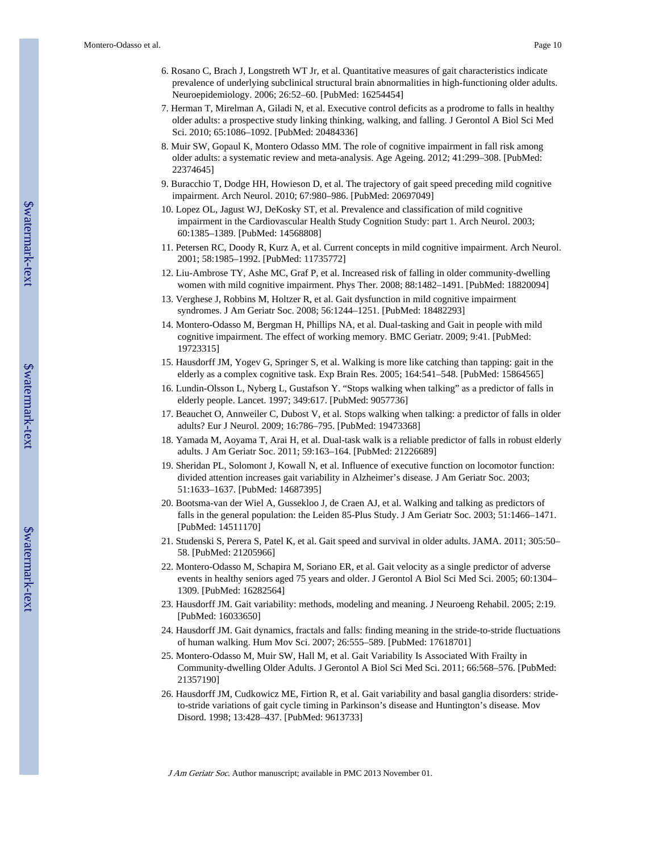- 6. Rosano C, Brach J, Longstreth WT Jr, et al. Quantitative measures of gait characteristics indicate prevalence of underlying subclinical structural brain abnormalities in high-functioning older adults. Neuroepidemiology. 2006; 26:52–60. [PubMed: 16254454]
- 7. Herman T, Mirelman A, Giladi N, et al. Executive control deficits as a prodrome to falls in healthy older adults: a prospective study linking thinking, walking, and falling. J Gerontol A Biol Sci Med Sci. 2010; 65:1086–1092. [PubMed: 20484336]
- 8. Muir SW, Gopaul K, Montero Odasso MM. The role of cognitive impairment in fall risk among older adults: a systematic review and meta-analysis. Age Ageing. 2012; 41:299–308. [PubMed: 22374645]
- 9. Buracchio T, Dodge HH, Howieson D, et al. The trajectory of gait speed preceding mild cognitive impairment. Arch Neurol. 2010; 67:980–986. [PubMed: 20697049]
- 10. Lopez OL, Jagust WJ, DeKosky ST, et al. Prevalence and classification of mild cognitive impairment in the Cardiovascular Health Study Cognition Study: part 1. Arch Neurol. 2003; 60:1385–1389. [PubMed: 14568808]
- 11. Petersen RC, Doody R, Kurz A, et al. Current concepts in mild cognitive impairment. Arch Neurol. 2001; 58:1985–1992. [PubMed: 11735772]
- 12. Liu-Ambrose TY, Ashe MC, Graf P, et al. Increased risk of falling in older community-dwelling women with mild cognitive impairment. Phys Ther. 2008; 88:1482–1491. [PubMed: 18820094]
- 13. Verghese J, Robbins M, Holtzer R, et al. Gait dysfunction in mild cognitive impairment syndromes. J Am Geriatr Soc. 2008; 56:1244–1251. [PubMed: 18482293]
- 14. Montero-Odasso M, Bergman H, Phillips NA, et al. Dual-tasking and Gait in people with mild cognitive impairment. The effect of working memory. BMC Geriatr. 2009; 9:41. [PubMed: 19723315]
- 15. Hausdorff JM, Yogev G, Springer S, et al. Walking is more like catching than tapping: gait in the elderly as a complex cognitive task. Exp Brain Res. 2005; 164:541–548. [PubMed: 15864565]
- 16. Lundin-Olsson L, Nyberg L, Gustafson Y. "Stops walking when talking" as a predictor of falls in elderly people. Lancet. 1997; 349:617. [PubMed: 9057736]
- 17. Beauchet O, Annweiler C, Dubost V, et al. Stops walking when talking: a predictor of falls in older adults? Eur J Neurol. 2009; 16:786–795. [PubMed: 19473368]
- 18. Yamada M, Aoyama T, Arai H, et al. Dual-task walk is a reliable predictor of falls in robust elderly adults. J Am Geriatr Soc. 2011; 59:163–164. [PubMed: 21226689]
- 19. Sheridan PL, Solomont J, Kowall N, et al. Influence of executive function on locomotor function: divided attention increases gait variability in Alzheimer's disease. J Am Geriatr Soc. 2003; 51:1633–1637. [PubMed: 14687395]
- 20. Bootsma-van der Wiel A, Gussekloo J, de Craen AJ, et al. Walking and talking as predictors of falls in the general population: the Leiden 85-Plus Study. J Am Geriatr Soc. 2003; 51:1466–1471. [PubMed: 14511170]
- 21. Studenski S, Perera S, Patel K, et al. Gait speed and survival in older adults. JAMA. 2011; 305:50– 58. [PubMed: 21205966]
- 22. Montero-Odasso M, Schapira M, Soriano ER, et al. Gait velocity as a single predictor of adverse events in healthy seniors aged 75 years and older. J Gerontol A Biol Sci Med Sci. 2005; 60:1304– 1309. [PubMed: 16282564]
- 23. Hausdorff JM. Gait variability: methods, modeling and meaning. J Neuroeng Rehabil. 2005; 2:19. [PubMed: 16033650]
- 24. Hausdorff JM. Gait dynamics, fractals and falls: finding meaning in the stride-to-stride fluctuations of human walking. Hum Mov Sci. 2007; 26:555–589. [PubMed: 17618701]
- 25. Montero-Odasso M, Muir SW, Hall M, et al. Gait Variability Is Associated With Frailty in Community-dwelling Older Adults. J Gerontol A Biol Sci Med Sci. 2011; 66:568–576. [PubMed: 21357190]
- 26. Hausdorff JM, Cudkowicz ME, Firtion R, et al. Gait variability and basal ganglia disorders: strideto-stride variations of gait cycle timing in Parkinson's disease and Huntington's disease. Mov Disord. 1998; 13:428–437. [PubMed: 9613733]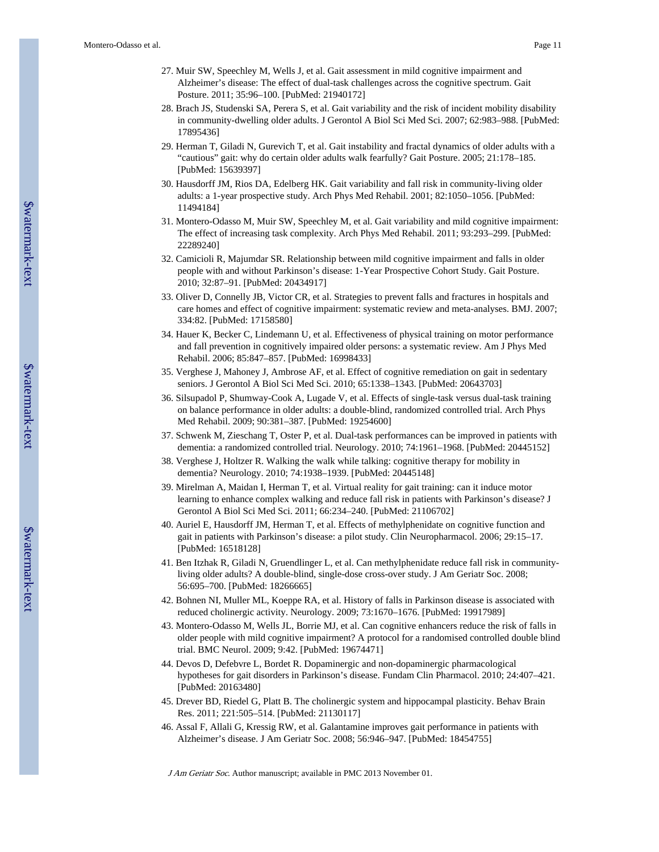- 27. Muir SW, Speechley M, Wells J, et al. Gait assessment in mild cognitive impairment and Alzheimer's disease: The effect of dual-task challenges across the cognitive spectrum. Gait Posture. 2011; 35:96–100. [PubMed: 21940172]
- 28. Brach JS, Studenski SA, Perera S, et al. Gait variability and the risk of incident mobility disability in community-dwelling older adults. J Gerontol A Biol Sci Med Sci. 2007; 62:983–988. [PubMed: 17895436]
- 29. Herman T, Giladi N, Gurevich T, et al. Gait instability and fractal dynamics of older adults with a "cautious" gait: why do certain older adults walk fearfully? Gait Posture. 2005; 21:178–185. [PubMed: 15639397]
- 30. Hausdorff JM, Rios DA, Edelberg HK. Gait variability and fall risk in community-living older adults: a 1-year prospective study. Arch Phys Med Rehabil. 2001; 82:1050–1056. [PubMed: 11494184]
- 31. Montero-Odasso M, Muir SW, Speechley M, et al. Gait variability and mild cognitive impairment: The effect of increasing task complexity. Arch Phys Med Rehabil. 2011; 93:293–299. [PubMed: 22289240]
- 32. Camicioli R, Majumdar SR. Relationship between mild cognitive impairment and falls in older people with and without Parkinson's disease: 1-Year Prospective Cohort Study. Gait Posture. 2010; 32:87–91. [PubMed: 20434917]
- 33. Oliver D, Connelly JB, Victor CR, et al. Strategies to prevent falls and fractures in hospitals and care homes and effect of cognitive impairment: systematic review and meta-analyses. BMJ. 2007; 334:82. [PubMed: 17158580]
- 34. Hauer K, Becker C, Lindemann U, et al. Effectiveness of physical training on motor performance and fall prevention in cognitively impaired older persons: a systematic review. Am J Phys Med Rehabil. 2006; 85:847–857. [PubMed: 16998433]
- 35. Verghese J, Mahoney J, Ambrose AF, et al. Effect of cognitive remediation on gait in sedentary seniors. J Gerontol A Biol Sci Med Sci. 2010; 65:1338–1343. [PubMed: 20643703]
- 36. Silsupadol P, Shumway-Cook A, Lugade V, et al. Effects of single-task versus dual-task training on balance performance in older adults: a double-blind, randomized controlled trial. Arch Phys Med Rehabil. 2009; 90:381–387. [PubMed: 19254600]
- 37. Schwenk M, Zieschang T, Oster P, et al. Dual-task performances can be improved in patients with dementia: a randomized controlled trial. Neurology. 2010; 74:1961–1968. [PubMed: 20445152]
- 38. Verghese J, Holtzer R. Walking the walk while talking: cognitive therapy for mobility in dementia? Neurology. 2010; 74:1938–1939. [PubMed: 20445148]
- 39. Mirelman A, Maidan I, Herman T, et al. Virtual reality for gait training: can it induce motor learning to enhance complex walking and reduce fall risk in patients with Parkinson's disease? J Gerontol A Biol Sci Med Sci. 2011; 66:234–240. [PubMed: 21106702]
- 40. Auriel E, Hausdorff JM, Herman T, et al. Effects of methylphenidate on cognitive function and gait in patients with Parkinson's disease: a pilot study. Clin Neuropharmacol. 2006; 29:15–17. [PubMed: 16518128]
- 41. Ben Itzhak R, Giladi N, Gruendlinger L, et al. Can methylphenidate reduce fall risk in communityliving older adults? A double-blind, single-dose cross-over study. J Am Geriatr Soc. 2008; 56:695–700. [PubMed: 18266665]
- 42. Bohnen NI, Muller ML, Koeppe RA, et al. History of falls in Parkinson disease is associated with reduced cholinergic activity. Neurology. 2009; 73:1670–1676. [PubMed: 19917989]
- 43. Montero-Odasso M, Wells JL, Borrie MJ, et al. Can cognitive enhancers reduce the risk of falls in older people with mild cognitive impairment? A protocol for a randomised controlled double blind trial. BMC Neurol. 2009; 9:42. [PubMed: 19674471]
- 44. Devos D, Defebvre L, Bordet R. Dopaminergic and non-dopaminergic pharmacological hypotheses for gait disorders in Parkinson's disease. Fundam Clin Pharmacol. 2010; 24:407–421. [PubMed: 20163480]
- 45. Drever BD, Riedel G, Platt B. The cholinergic system and hippocampal plasticity. Behav Brain Res. 2011; 221:505–514. [PubMed: 21130117]
- 46. Assal F, Allali G, Kressig RW, et al. Galantamine improves gait performance in patients with Alzheimer's disease. J Am Geriatr Soc. 2008; 56:946–947. [PubMed: 18454755]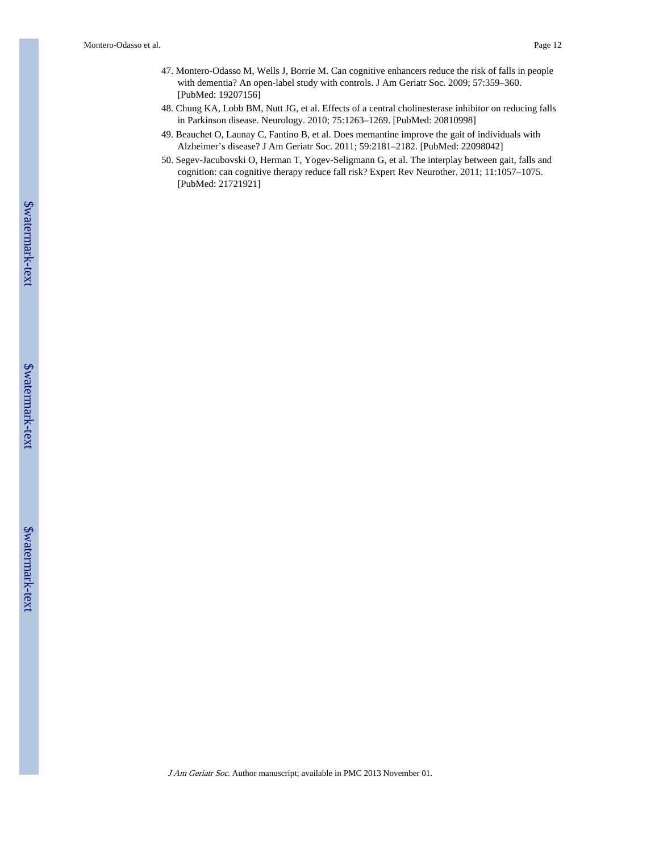- 47. Montero-Odasso M, Wells J, Borrie M. Can cognitive enhancers reduce the risk of falls in people with dementia? An open-label study with controls. J Am Geriatr Soc. 2009; 57:359–360. [PubMed: 19207156]
- 48. Chung KA, Lobb BM, Nutt JG, et al. Effects of a central cholinesterase inhibitor on reducing falls in Parkinson disease. Neurology. 2010; 75:1263–1269. [PubMed: 20810998]
- 49. Beauchet O, Launay C, Fantino B, et al. Does memantine improve the gait of individuals with Alzheimer's disease? J Am Geriatr Soc. 2011; 59:2181–2182. [PubMed: 22098042]
- 50. Segev-Jacubovski O, Herman T, Yogev-Seligmann G, et al. The interplay between gait, falls and cognition: can cognitive therapy reduce fall risk? Expert Rev Neurother. 2011; 11:1057–1075. [PubMed: 21721921]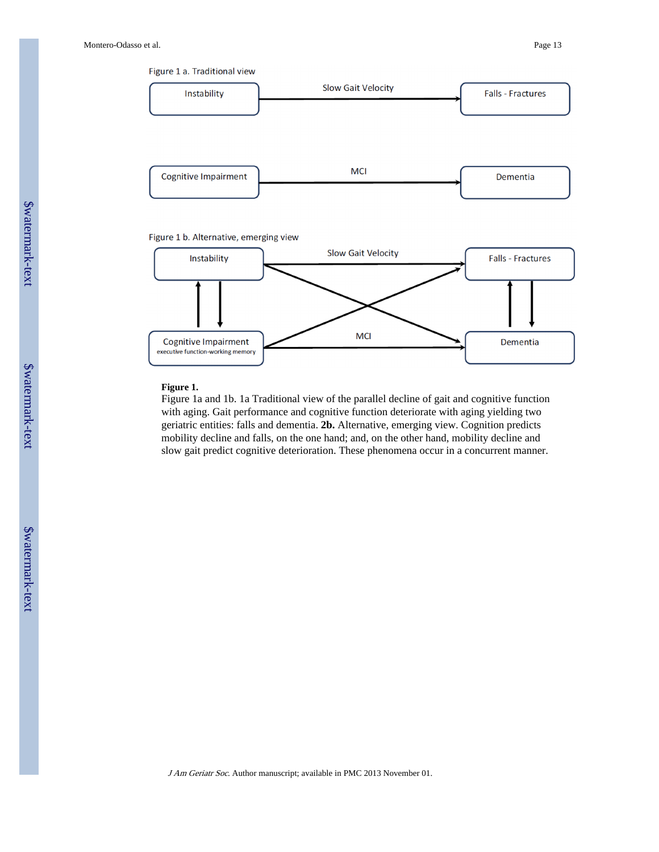#### Figure 1 a. Traditional view



#### Figure 1 b. Alternative, emerging view



#### **Figure 1.**

Figure 1a and 1b. 1a Traditional view of the parallel decline of gait and cognitive function with aging. Gait performance and cognitive function deteriorate with aging yielding two geriatric entities: falls and dementia. **2b.** Alternative, emerging view. Cognition predicts mobility decline and falls, on the one hand; and, on the other hand, mobility decline and slow gait predict cognitive deterioration. These phenomena occur in a concurrent manner.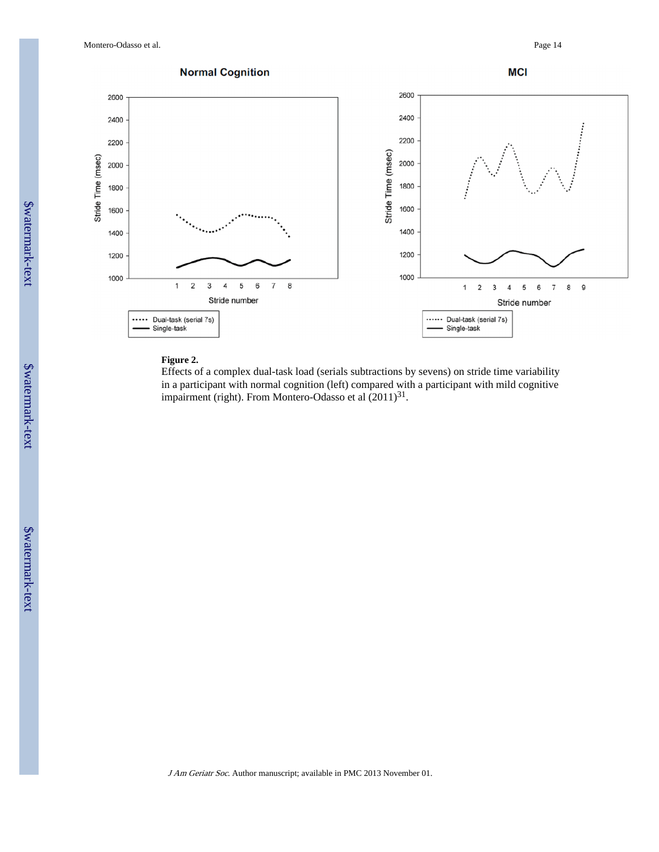



#### **Figure 2.**

Effects of a complex dual-task load (serials subtractions by sevens) on stride time variability in a participant with normal cognition (left) compared with a participant with mild cognitive impairment (right). From Montero-Odasso et al  $(2011)^{31}$ .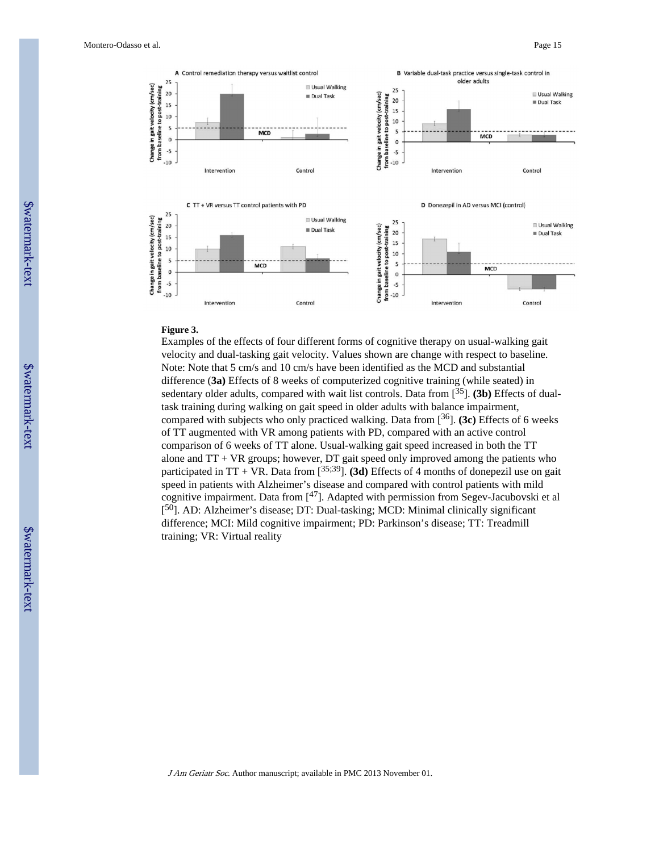

#### **Figure 3.**

Examples of the effects of four different forms of cognitive therapy on usual-walking gait velocity and dual-tasking gait velocity. Values shown are change with respect to baseline. Note: Note that 5 cm/s and 10 cm/s have been identified as the MCD and substantial difference (**3a)** Effects of 8 weeks of computerized cognitive training (while seated) in sedentary older adults, compared with wait list controls. Data from [35]. **(3b)** Effects of dualtask training during walking on gait speed in older adults with balance impairment, compared with subjects who only practiced walking. Data from [36]. **(3c)** Effects of 6 weeks of TT augmented with VR among patients with PD, compared with an active control comparison of 6 weeks of TT alone. Usual-walking gait speed increased in both the TT alone and TT + VR groups; however, DT gait speed only improved among the patients who participated in  $TT + VR$ . Data from  $\left[\frac{35;39}{\right]$ . **(3d)** Effects of 4 months of donepezil use on gait speed in patients with Alzheimer's disease and compared with control patients with mild cognitive impairment. Data from  $[47]$ . Adapted with permission from Segev-Jacubovski et al [<sup>50</sup>]. AD: Alzheimer's disease; DT: Dual-tasking; MCD: Minimal clinically significant difference; MCI: Mild cognitive impairment; PD: Parkinson's disease; TT: Treadmill training; VR: Virtual reality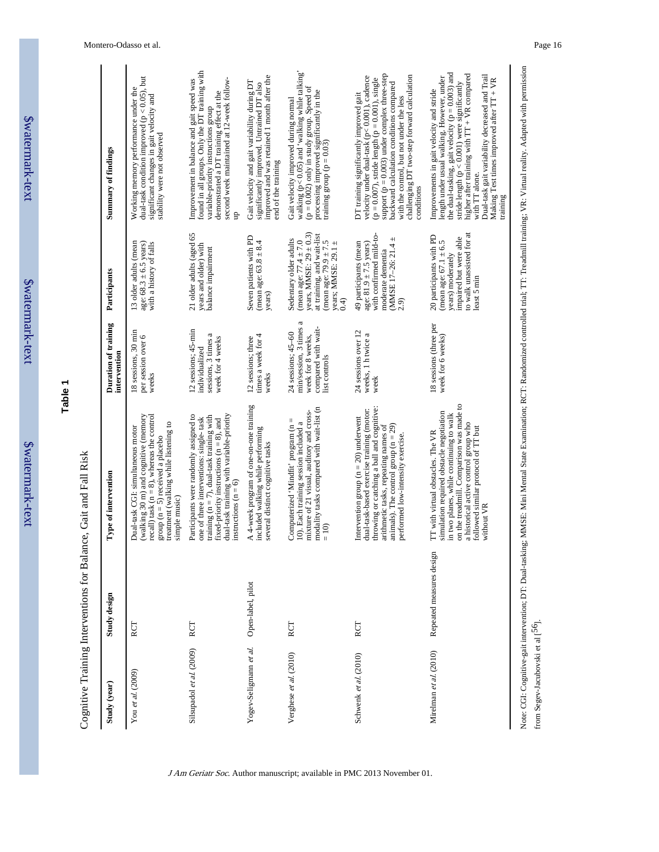| Study (year)             | Study design             | Type of intervention                                                                                                                                                                                                                                               | Duration of training                                                                                         | Participants                                                                                                                                                                            | <b>Summary of findings</b>                                                                                                                                                                                                                                                                                                                                                   |
|--------------------------|--------------------------|--------------------------------------------------------------------------------------------------------------------------------------------------------------------------------------------------------------------------------------------------------------------|--------------------------------------------------------------------------------------------------------------|-----------------------------------------------------------------------------------------------------------------------------------------------------------------------------------------|------------------------------------------------------------------------------------------------------------------------------------------------------------------------------------------------------------------------------------------------------------------------------------------------------------------------------------------------------------------------------|
|                          |                          |                                                                                                                                                                                                                                                                    | intervention                                                                                                 |                                                                                                                                                                                         |                                                                                                                                                                                                                                                                                                                                                                              |
| You et al. $(2009)$      | RCT                      | (walking 30 m) and cognitive (memory<br>recall) task ( $n = 8$ ), whereas the control<br>treatment (walking while listening to<br>Dual-task CGI: simultaneous motor<br>group $(n = 5)$ received a placebo<br>simple music)                                         | 18 sessions, 30 min<br>per session over 6<br>weeks                                                           | 13 older adults (mean<br>age: $68.3 \pm 6.5$ years)<br>with a history of falls                                                                                                          | dual-task condition improved ( $p < 0.05$ ), but<br>Working memory performance under the<br>significant changes in gait velocity and<br>stability were not observed                                                                                                                                                                                                          |
| Silsupadol et al. (2009) | RCT                      | Participants were randomly assigned to<br>dual-task training with variable-priority<br>training ( $n = 7$ ), dual-task training with<br>one of three interventions: single-task<br>fixed-priority instructions $(n = 8)$ , and<br>instructions $(n = 6)$           | 12 sessions; 45-min<br>sessions, 3 times a<br>week for 4 weeks<br>individualized                             | 21 older adults (aged 65<br>years and older) with<br>balance impairment                                                                                                                 | found in all groups. Only the DT training with<br>second week maintained at 12-week follow-<br>Improvement in balance and gait speed was<br>demonstrated a DT training effect at the<br>variable-priority instructions group                                                                                                                                                 |
| Yogev-Seligmann et al.   | Open-label, pilot        | A 4-week program of one-on-one training<br>included walking while performing<br>several distinct cognitive tasks                                                                                                                                                   | times a week for 4<br>12 sessions; three<br>weeks                                                            | Seven patients with PD<br>(mean age: $63.8 \pm 8.4$<br>years)                                                                                                                           | improved and was retained 1 month after the<br>Gait velocity and gait variability during DT<br>significantly improved. Untrained DT also<br>end of the training                                                                                                                                                                                                              |
| Verghese et al. (2010)   | RCT                      | modality tasks compared with wait-list (n<br>mixture of 21 visual, auditory and cross-<br>Computerized 'Mindfit' program (n =<br>10). Each training session included a<br>$\frac{1}{10}$                                                                           | a<br>min/session, 3 times<br>compared with wait-<br>24 sessions; 45-60<br>week for 8 weeks.<br>list controls | years, MMSE: $29 \pm 0.3$ )<br>at training, and wait-list<br>Sedentary older adults<br>(mean age: $77.4 \pm 7.0$<br>(mean age: 79.9 $\pm$ 7.5<br>years; MMSE: 29.1 ±<br>$\widetilde{e}$ | walking ( $p$ < 0.05) and 'walking while talking'<br>$(p = 0.002)$ only in study group. Speed of<br>processing improved significantly in the training group ( $p = 0.03$ )<br>Gait velocity improved during normal                                                                                                                                                           |
| Schwenk et al. (2010)    | RCT                      | throwing or catching a ball and cognitive:<br>dual-task-based exercise training (motor:<br>Intervention group ( $n = 20$ ) underwent<br>arithmetic tasks, repeating names of<br>animals). The control group ( $n = 29$ )<br>performed low-intensity exercise.      | 24 sessions over 12<br>weeks, 1 h twice a<br>week                                                            | with confirmed mild-to-<br>(MMSE 17-26: 21.4 $\pm$<br>49 participants (mean<br>age: $81.9 \pm 7.5$ years)<br>moderate dementia<br>(6.2)                                                 | support ( $p = 0.003$ ) under complex three-step<br>challenging DT two-step forward calculation<br>velocity under dual-task (p< 0.001), cadence<br>$(p = 0.007)$ , stride length $(p = 0.001)$ , single<br>backward calculation conditions compared<br>DT training significantly improved gait<br>with the control, but not under the les<br>conditions                      |
| Mirelman et al. (2010)   | Repeated measures design | on the treadmill. Comparison was made to<br>simulation required obstacle negotiation<br>in two planes, while continuing to walk<br>a historical active control group who<br>followed similar protocol of TT but<br>IT with virtual obstacles. The VR<br>without VR | 18 sessions (three per<br>week for 6 weeks)                                                                  | to walk unassisted for at<br>20 participants with PD<br>impaired but were able<br>(mean age: $67.1 \pm 6.5$<br>years) moderately<br>least 5 min                                         | the dual-tasking, gait velocity ( $p = 0.003$ ) and<br>higher after training with TT + VR compared<br>Dual-task gait variability decreased and Trail<br>length under usual walking. However, under<br>Making Test times improved after TT + VR<br>stride length ( $p < 0.001$ ) were significantly<br>Improvements in gait velocity and stride<br>with TT alone.<br>training |
|                          |                          |                                                                                                                                                                                                                                                                    |                                                                                                              |                                                                                                                                                                                         |                                                                                                                                                                                                                                                                                                                                                                              |

Note: CGI: Cognitive-gait intervention; DT: Dual-tasking; MMSE: Mini Mental State Examination; RCT: Randomized controlled trial; TT: Treadmill training; VR: Virtual reality. Adapted with permission

Note: CGI: Cognitive-gait intervention; DT: Dual-tasking; MMSE: Mini Mental State Examination; RCT: Randomized controlled trial; TT: Treadmill training; VR: Virtual reality. Adapted with permission

from Segev-Jacubovski et al [56].

from Segev-Jacubovski et al $\lbrack ^{56}].$ 

J Am Geriatr Soc. Author manuscript; available in PMC 2013 November 01.

**Table 1**

\$watermark-text

\$watermark-text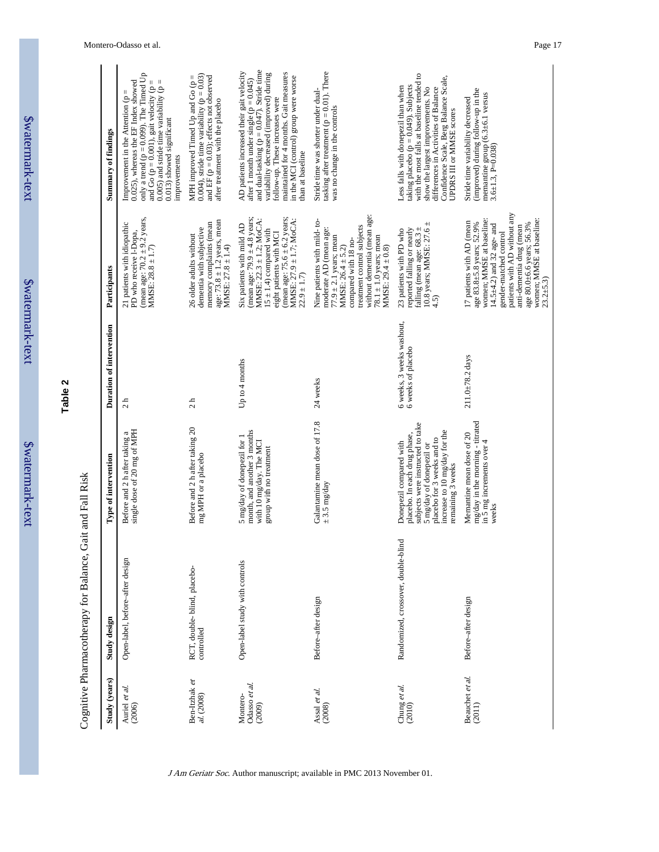|                                    | Cognitive Pharmacotherapy for Balance,    | Gait and Fall Risk                                                                                                                                                                                          |                                                 |                                                                                                                                                                                                                                                                                         |                                                                                                                                                                                                                                                                                                                               |
|------------------------------------|-------------------------------------------|-------------------------------------------------------------------------------------------------------------------------------------------------------------------------------------------------------------|-------------------------------------------------|-----------------------------------------------------------------------------------------------------------------------------------------------------------------------------------------------------------------------------------------------------------------------------------------|-------------------------------------------------------------------------------------------------------------------------------------------------------------------------------------------------------------------------------------------------------------------------------------------------------------------------------|
| <b>Study</b> (years)               | Study design                              | Type of intervention                                                                                                                                                                                        | Duration of intervention                        | Participants                                                                                                                                                                                                                                                                            | <b>Summary of findings</b>                                                                                                                                                                                                                                                                                                    |
| Auriel et al.<br>(2006)            | Open-label, before-after design           | Before and 2 h after taking a<br>single dose of 20 mg of MPH                                                                                                                                                | 2 h                                             | (mean age: 70.2 ± 9.2 years,<br>MMSE: 28.8 ± 1.7)<br>21 patients with idiopathic<br>PD who receive l-Dopa,                                                                                                                                                                              | only a trend ( $p = 0.099$ ). The Timed Up<br>and Go ( $p = 0.001$ ), gait velocity ( $p = 0.005$ ) and stride time variability ( $p =$<br>Improvement in the Attention ( $p = 0.025$ ), whereas the EF Index showed<br>0.013) showed significant<br>improvements                                                             |
| Ben-Itzhak et<br>al. (2008)        | RCT, double-blind, placebo-<br>controlled | Before and 2 h after taking 20<br>mg MPH or a placebo                                                                                                                                                       | 2 h                                             | age: 73.8 ± 1.2 years, mean<br>MMSE: 27.8 ± 1.4)<br>memory complaints (mean<br>dementia with subjective<br>26 older adults without                                                                                                                                                      | 0.004), stride time variability ( $p = 0.03$ )<br>and EF ( $p = 0.03$ ); effects not observed<br>MPH improved Timed Up and Go $(p =$<br>after treatment with the placebo                                                                                                                                                      |
| Odasso et al. $(2009)$<br>Montero- | Open-label study with controls            | month, and another 3 months<br>5 mg/day of donepezil for 1<br>with 10 mg/day. The MCI<br>group with no treatment                                                                                            | Up to 4 months                                  | (mean age: 75.6 ± 6.2 years;<br>MMSE: 27.9 ± 1.7; MoCA:<br>22.9 ± 1.7)<br>(mean age: 79.9 ± 4.8 years;<br>MMSE: 22.3 ± 1.2; MoCA:<br>Six patients with mild AD<br>$15 \pm 1.4$ ) compared with<br>eight patients with MCI                                                               | AD patients increased their gait velocity<br>after 1 month under single ( $p = 0.045$ )<br>and dual-tasking ( $p = 0.047$ ). Stride time<br>maintained for 4 months. Gait measures<br>variability decreased (improved) during<br>in the MCI (control) group were worse<br>follow-up. These increases were<br>than at baseline |
| Assal et al.<br>(2008)             | Before-after design                       | Galantamine mean dose of 17.8<br>± 3.5 mg/day                                                                                                                                                               | 24 weeks                                        | without dementia (mean age:<br>Nine patients with mild-to-<br>treatment control subjects<br>moderate AD (mean age:<br>$77.9 \pm 2.1$ years; mean<br>$78.1 \pm 1.0$ years; mean<br>compared with 18 no-<br>MMSE: $26.4 \pm 5.2$ )<br>MMSE: $29.4 \pm 0.8$ )                              | tasking after treatment ( $p = 0.01$ ). There<br>Stride time was shorter under dual-<br>was no change in the controls                                                                                                                                                                                                         |
| Chung et al.<br>(2010)             | Randomized, crossover, double-blind       | subjects were instructed to take<br>increase to 10 mg/day for the<br>placebo. In each drug phase,<br>placebo for 3 weeks and to<br>Donepezil compared with<br>5 mg/day of donepezil or<br>remaining 3 weeks | 6 weeks, 3 weeks washout,<br>6 weeks of placebo | falling (mean age: $68.3 \pm 10.8$ years; MMSE: $27.6 \pm 10.8$<br>reported falling or nearly<br>23 patients with PD who<br>4.5)                                                                                                                                                        | with the most falls at baseline tended to<br>Confidence Scale, Berg Balance Scale,<br>UPDRS III or MMSE scores<br>taking placebo ( $p = 0.049$ ). Subjects<br>Less falls with donepezil than when<br>show the largest improvements. No<br>differences in Activities of Balance                                                |
| Beauchet et al.<br>(2011)          | Before-after design                       | $mg/day$ in the morning - titrated<br>in 5 mg increments over 4<br>weeks<br>Memantine mean dose of 20                                                                                                       | $211.0 \pm 78.2$ days                           | patients with AD without any<br>women; MMSE at baseline:<br>women; MMSE at baseline:<br>17 patients with AD (mean<br>age 83.8±5.8 years; 52.9%<br>age 80.0±6.6 years; 56.3%<br>$14.5 \pm 4.2$ ) and $32$ age- and<br>anti-dementia drug (mean<br>gender-matched control<br>$23.2 + 5.3$ | (improved) during follow-up in the<br>memantine group (6.3±6.1 versus<br>3.6±1.3, P=0.038)<br>Stride time variability decreased                                                                                                                                                                                               |

J Am Geriatr Soc. Author manuscript; available in PMC 2013 November 01.

**Table 2**

\$watermark-text

\$watermark-text